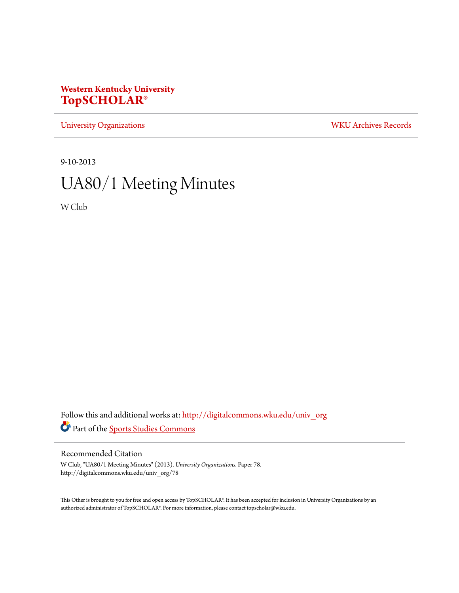## **Western Kentucky University [TopSCHOLAR®](http://digitalcommons.wku.edu?utm_source=digitalcommons.wku.edu%2Funiv_org%2F78&utm_medium=PDF&utm_campaign=PDFCoverPages)**

[University Organizations](http://digitalcommons.wku.edu/univ_org?utm_source=digitalcommons.wku.edu%2Funiv_org%2F78&utm_medium=PDF&utm_campaign=PDFCoverPages) [WKU Archives Records](http://digitalcommons.wku.edu/dlsc_ua_records?utm_source=digitalcommons.wku.edu%2Funiv_org%2F78&utm_medium=PDF&utm_campaign=PDFCoverPages)

9-10-2013

# UA80/1 Meeting Minutes

W Club

Follow this and additional works at: [http://digitalcommons.wku.edu/univ\\_org](http://digitalcommons.wku.edu/univ_org?utm_source=digitalcommons.wku.edu%2Funiv_org%2F78&utm_medium=PDF&utm_campaign=PDFCoverPages) Part of the [Sports Studies Commons](http://network.bepress.com/hgg/discipline/1198?utm_source=digitalcommons.wku.edu%2Funiv_org%2F78&utm_medium=PDF&utm_campaign=PDFCoverPages)

#### Recommended Citation

W Club, "UA80/1 Meeting Minutes" (2013). *University Organizations.* Paper 78. http://digitalcommons.wku.edu/univ\_org/78

This Other is brought to you for free and open access by TopSCHOLAR®. It has been accepted for inclusion in University Organizations by an authorized administrator of TopSCHOLAR®. For more information, please contact topscholar@wku.edu.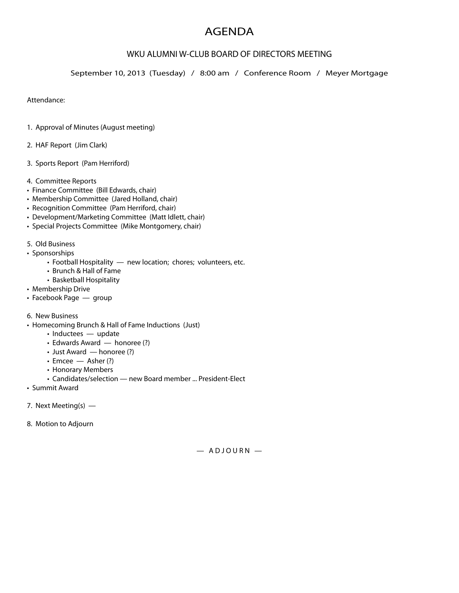## AGENDA

### WKU ALUMNI W-CLUB BOARD OF DIRECTORS MEETING

September 10, 2013 (Tuesday) / 8:00 am / Conference Room / Meyer Mortgage

Attendance:

- 1. Approval of Minutes (August meeting)
- 2. HAF Report (Jim Clark)
- 3. Sports Report (Pam Herriford)
- 4. Committee Reports
- Finance Committee (Bill Edwards, chair)
- Membership Committee (Jared Holland, chair)
- Recognition Committee (Pam Herriford, chair)
- Development/Marketing Committee (Matt Idlett, chair)
- Special Projects Committee (Mike Montgomery, chair)
- 5. Old Business
- Sponsorships
	- Football Hospitality new location; chores; volunteers, etc.
	- Brunch & Hall of Fame
	- Basketball Hospitality
- Membership Drive
- Facebook Page group
- 6. New Business
- Homecoming Brunch & Hall of Fame Inductions (Just)
	- Inductees update
	- $\cdot$  Edwards Award  $-$  honoree (?)
	- Just Award honoree (?)
	- Emcee Asher (?)
	- Honorary Members
	- Candidates/selection new Board member ... President-Elect
- Summit Award
- 7. Next Meeting(s) —
- 8. Motion to Adjourn

 $-$  ADJOURN  $-$